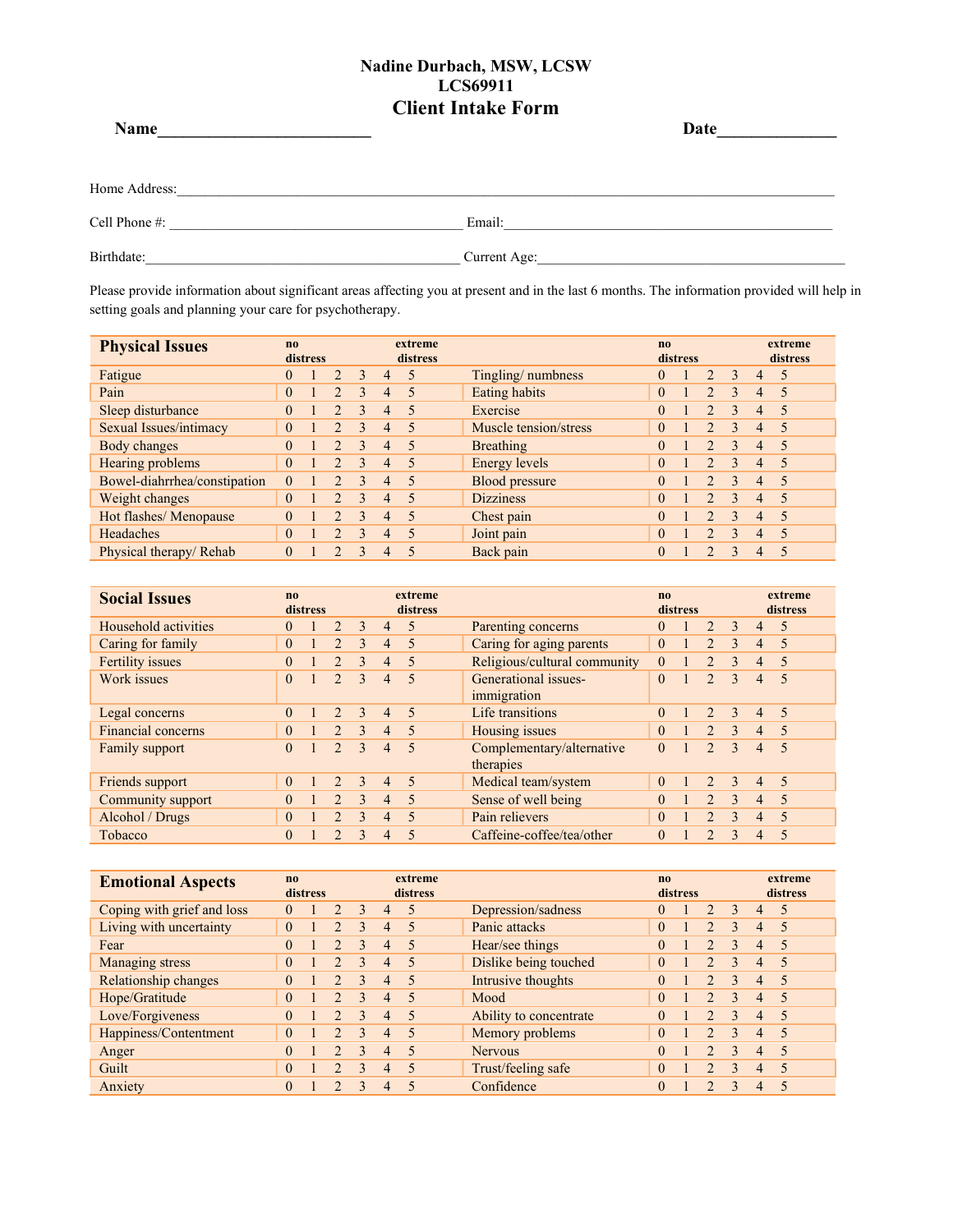| Name          | Date         |  |
|---------------|--------------|--|
| Home Address: |              |  |
| Cell Phone #: | Email:       |  |
| Birthdate:    | Current Age: |  |

Please provide information about significant areas affecting you at present and in the last 6 months. The information provided will help in setting goals and planning your care for psychotherapy.

| <b>Physical Issues</b>       | $\mathbf{n}$ | distress |               |                         |                | extreme<br>distress      |                       | n <sub>0</sub> | distress |                        |               |                | extreme<br>distress      |
|------------------------------|--------------|----------|---------------|-------------------------|----------------|--------------------------|-----------------------|----------------|----------|------------------------|---------------|----------------|--------------------------|
| Fatigue                      | 0            |          |               | $\mathcal{E}$           | $\overline{4}$ | $\overline{\mathcal{L}}$ | Tingling/numbness     | $\Omega$       |          | $\mathfrak{D}_{\cdot}$ | $\mathcal{E}$ | $\overline{4}$ | $\overline{\mathcal{L}}$ |
| Pain                         | $\Omega$     |          |               | 3                       | $\overline{4}$ | 5                        | Eating habits         | $\theta$       |          | $\overline{2}$         | 3             | $\overline{4}$ | $\overline{\mathcal{L}}$ |
| Sleep disturbance            | 0            |          |               | 3                       | 4              | $\overline{\phantom{0}}$ | Exercise              | $\Omega$       |          |                        | 3             | $\overline{4}$ | $\overline{\mathcal{L}}$ |
| Sexual Issues/intimacy       | $\Omega$     |          |               | $\mathcal{E}$           | $\overline{4}$ | $\overline{\mathcal{L}}$ | Muscle tension/stress | $\theta$       |          | $\mathfrak{D}$         | 3             | $\overline{4}$ | $\overline{\mathcal{L}}$ |
| Body changes                 | 0            |          |               | $\mathcal{L}$           | 4              | $\overline{\mathcal{L}}$ | Breathing             | $\Omega$       |          | $\mathcal{D}$          | $\mathbf{3}$  | 4              | $\overline{\mathcal{L}}$ |
| Hearing problems             | $\Omega$     |          | $\mathcal{D}$ | $\mathbf{R}$            | 4              | $\overline{\phantom{0}}$ | Energy levels         | $\theta$       |          | $\mathcal{D}$          | $\mathbf{3}$  | $\overline{4}$ | $\overline{\mathcal{L}}$ |
| Bowel-diahrrhea/constipation | $\Omega$     |          |               | $\mathbf{3}$            | $\overline{4}$ | $\overline{\mathcal{L}}$ | Blood pressure        | $\Omega$       |          | $\mathfrak{D}$         | $\mathbf{3}$  | $\overline{4}$ | $\overline{\mathcal{L}}$ |
| Weight changes               | $\Omega$     |          |               | $\overline{\mathbf{3}}$ | 4              | $\overline{\mathcal{L}}$ | <b>Dizziness</b>      | $\theta$       |          | $\overline{2}$         | $\mathbf{3}$  | $\overline{4}$ | $\overline{\phantom{0}}$ |
| Hot flashes/ Menopause       | $\Omega$     |          |               | $\mathcal{L}$           | $\overline{4}$ | $\overline{\mathcal{L}}$ | Chest pain            | $\Omega$       |          | $\mathcal{D}$          | $\mathcal{L}$ | $\overline{4}$ | $\overline{\mathcal{L}}$ |
| Headaches                    | $\Omega$     |          |               | $\mathbf{R}$            | 4              | $\overline{\mathbf{5}}$  | Joint pain            | $\theta$       |          | $\mathcal{L}$          | $\mathbf{3}$  | $\overline{4}$ | $\overline{5}$           |
| Physical therapy/Rehab       | 0            |          |               | $\mathbf{R}$            | 4              |                          | Back pain             |                |          |                        | 3             | 4              | $\overline{\mathcal{L}}$ |

| <b>Social Issues</b> | n <sub>0</sub> | distress |                | extreme<br>distress |                |                          |                                        | $\mathbf{n}$ | distress |                | extreme<br>distress |                |                          |  |
|----------------------|----------------|----------|----------------|---------------------|----------------|--------------------------|----------------------------------------|--------------|----------|----------------|---------------------|----------------|--------------------------|--|
| Household activities | 0              |          | $\mathcal{D}$  | $\mathcal{L}$       | $\overline{4}$ | $\overline{\mathcal{L}}$ | Parenting concerns                     | $\Omega$     |          | $\overline{2}$ | $\mathcal{E}$       | $\overline{4}$ | $\overline{\mathcal{L}}$ |  |
| Caring for family    | $\Omega$       |          | $\mathfrak{D}$ | $\mathcal{E}$       | $\overline{4}$ | $\overline{\mathbf{5}}$  | Caring for aging parents               | $\theta$     |          | $\overline{2}$ | $\mathbf{3}$        | $\overline{4}$ | $\overline{\mathcal{L}}$ |  |
| Fertility issues     | $\Omega$       |          | $\mathfrak{D}$ | $\mathcal{L}$       | $\overline{4}$ | $\overline{\mathbf{5}}$  | Religious/cultural community           | $\theta$     |          | $\mathfrak{D}$ | $\mathbf{3}$        | $\overline{4}$ | 5                        |  |
| Work issues          | $\Omega$       |          | $\mathcal{D}$  | $\mathcal{L}$       | $\overline{4}$ | $\overline{\mathcal{L}}$ | Generational issues-<br>immigration    | $\Omega$     |          | $\mathfrak{D}$ | $\mathbf{3}$        | $\overline{4}$ | $\overline{\mathcal{L}}$ |  |
| Legal concerns       | $\Omega$       |          | $\mathcal{L}$  | $\mathcal{E}$       | $\overline{4}$ | $\overline{\mathcal{L}}$ | Life transitions                       | $\Omega$     |          | $\overline{2}$ | $\mathcal{E}$       | $\overline{4}$ | $\sqrt{2}$               |  |
| Financial concerns   | $\theta$       |          | $\overline{2}$ | $\overline{3}$      | $\overline{4}$ | 5                        | Housing issues                         | $\theta$     |          | $\overline{2}$ | 3                   | $\overline{4}$ | 5                        |  |
| Family support       | $\Omega$       |          | $\mathcal{D}$  | $\mathcal{L}$       | $\overline{4}$ | $\overline{\mathbf{5}}$  | Complementary/alternative<br>therapies |              |          | $\mathcal{L}$  | $\mathbf{3}$        | $\overline{4}$ | $\overline{\mathcal{L}}$ |  |
| Friends support      | $\Omega$       |          | $\mathcal{L}$  | $\mathcal{L}$       | $\overline{4}$ | $\overline{\mathcal{L}}$ | Medical team/system                    | $\theta$     |          | $\overline{2}$ | $\mathbf{3}$        | $\overline{4}$ | $\overline{5}$           |  |
| Community support    | 0              |          | $\mathcal{D}$  | $\mathcal{L}$       | $\overline{4}$ | $\overline{\mathcal{L}}$ | Sense of well being                    |              |          | $\overline{2}$ | $\mathcal{E}$       | $\overline{4}$ | 5                        |  |
| Alcohol / Drugs      | $\Omega$       |          |                | $\mathbf{3}$        | $\overline{4}$ | $\overline{\mathcal{L}}$ | Pain relievers                         | $\theta$     |          | $\mathcal{L}$  | $\mathbf{3}$        | $\overline{4}$ | $\overline{\mathcal{L}}$ |  |
| Tobacco              | $\Omega$       |          |                | $\mathbf{R}$        | 4              | $\overline{\mathcal{L}}$ | Caffeine-coffee/tea/other              | $\Omega$     |          | $\mathcal{P}$  | $\mathcal{L}$       | $\overline{4}$ | 5                        |  |

| <b>Emotional Aspects</b>   | n <sub>0</sub> | distress |                |               |                | extreme<br>distress      |                        | $\mathbf{n}$ | distress |                       |               |                | extreme<br>distress |
|----------------------------|----------------|----------|----------------|---------------|----------------|--------------------------|------------------------|--------------|----------|-----------------------|---------------|----------------|---------------------|
| Coping with grief and loss | $\theta$       |          | $\mathfrak{D}$ | $\mathbf{3}$  | $\overline{4}$ | $\varsigma$              | Depression/sadness     | $\theta$     |          | $\mathcal{D}_{\cdot}$ | 3             | $\overline{4}$ | - 5                 |
| Living with uncertainty    | $\theta$       |          | $\overline{2}$ | $\mathbf{3}$  | 4              | 5                        | Panic attacks          | $\theta$     |          | $\mathfrak{D}$        | $\mathbf{3}$  | 4              | -5                  |
| Fear                       |                |          | $\mathfrak{D}$ | $\mathcal{R}$ | 4              | 5                        | Hear/see things        | $\Omega$     |          |                       | $\mathbf{3}$  | 4              | $\sqrt{2}$          |
| Managing stress            | $\theta$       |          | $\mathcal{D}$  | $\mathcal{R}$ | 4              | $\overline{\mathcal{L}}$ | Dislike being touched  | $\Omega$     |          |                       | $\mathbf{R}$  | 4              | $\sim$              |
| Relationship changes       | $\Omega$       |          | $\mathcal{D}$  | $\mathbf{3}$  | $\overline{4}$ | $\varsigma$              | Intrusive thoughts     | $\Omega$     |          | $\mathcal{D}$         | $\mathbf{R}$  | $\overline{4}$ | $\sqrt{2}$          |
| Hope/Gratitude             | $\theta$       |          | $\overline{2}$ | $\mathcal{R}$ | 4              | $\overline{\mathcal{L}}$ | Mood                   | $\theta$     |          | $\mathcal{D}$         | $\mathbf{3}$  | 4              | $\sqrt{2}$          |
| Love/Forgiveness           |                |          |                | $\mathcal{L}$ | 4              | $\overline{\mathcal{L}}$ | Ability to concentrate | $\Omega$     |          |                       | $\mathcal{L}$ | 4              | -5                  |
| Happiness/Contentment      | $\theta$       |          |                | $\mathcal{L}$ | 4              | $\varsigma$              | Memory problems        | $\Omega$     |          |                       | $\mathcal{L}$ | 4              | $\sqrt{2}$          |
| Anger                      |                |          |                | $\mathcal{R}$ | 4              | $\varsigma$              | <b>Nervous</b>         | $\Omega$     |          |                       | $\mathbf{3}$  | 4              | -5                  |
| Guilt                      | $\theta$       |          |                | $\mathbf{3}$  | $\overline{4}$ | $\overline{\mathcal{L}}$ | Trust/feeling safe     | $\theta$     |          |                       | $\mathbf{R}$  | 4              | $\sqrt{2}$          |
| Anxiety                    |                |          |                | $\mathbf{3}$  | 4              |                          | Confidence             | $\Omega$     |          |                       | $\mathbf{R}$  | 4              | $\sim$              |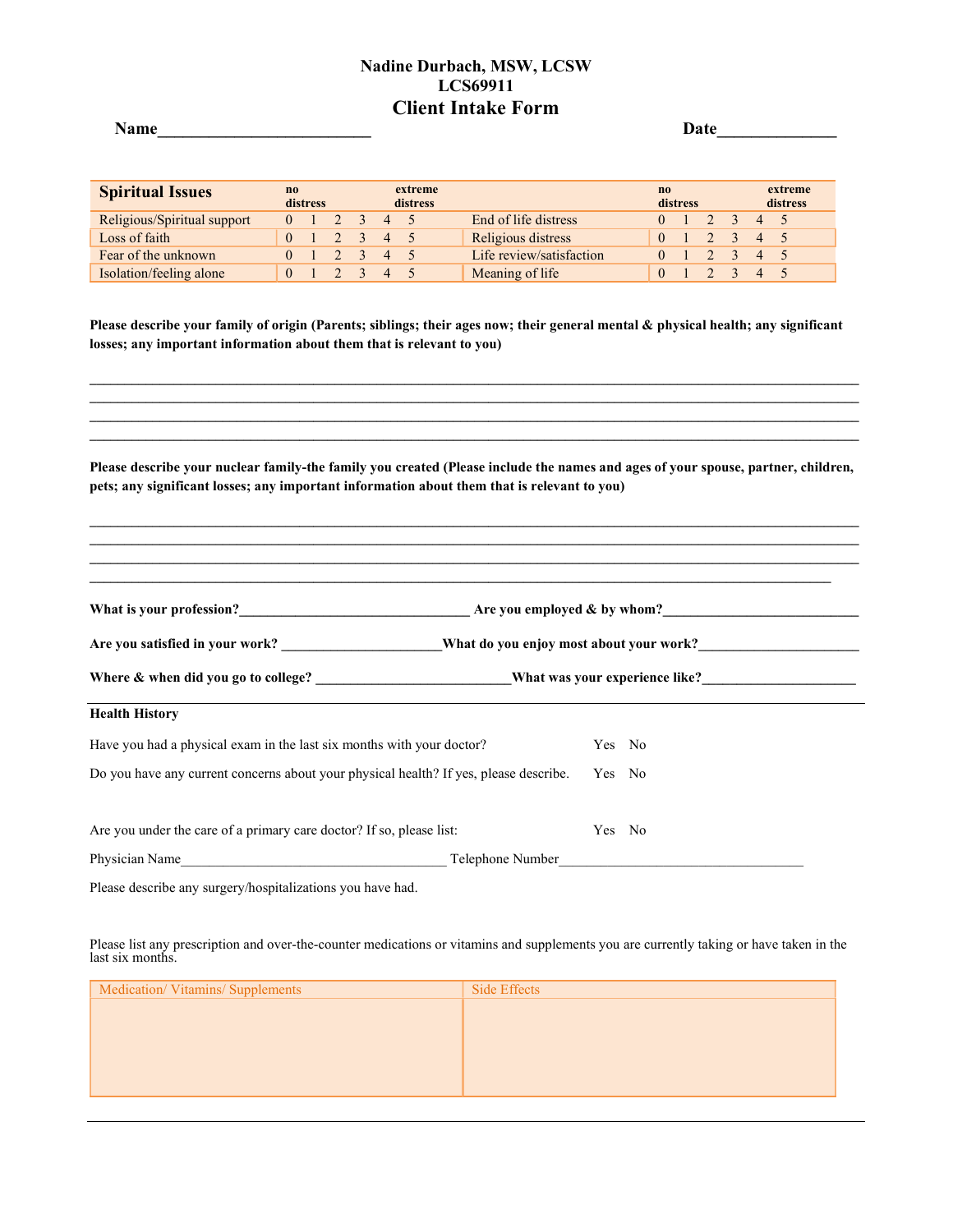Date

| <b>Spiritual Issues</b>     | $\mathbf{n}$<br>distress |  |  | extreme<br>distress            |  | no                       | distress |  | extreme<br>distress |                         |  |  |
|-----------------------------|--------------------------|--|--|--------------------------------|--|--------------------------|----------|--|---------------------|-------------------------|--|--|
| Religious/Spiritual support |                          |  |  | $0 \t1 \t2 \t3 \t4 \t5$        |  | End of life distress     |          |  |                     | $0 \t1 \t2 \t3 \t4 \t5$ |  |  |
| Loss of faith               |                          |  |  | $0 \t1 \t2 \t3 \t4 \t5$        |  | Religious distress       |          |  |                     | $0 \t1 \t2 \t3 \t4 \t5$ |  |  |
| Fear of the unknown         |                          |  |  | $2 \times 3 \times 4 \times 5$ |  | Life review/satisfaction |          |  |                     | 0 1 2 3 4 5             |  |  |
| Isolation/feeling alone     |                          |  |  |                                |  | Meaning of life          |          |  |                     |                         |  |  |

Please describe your family of origin (Parents; siblings; their ages now; their general mental & physical health; any significant losses; any important information about them that is relevant to you)

Please describe your nuclear family-the family you created (Please include the names and ages of your spouse, partner, children, pets; any significant losses; any important information about them that is relevant to you)

 $\mathcal{L}_\mathcal{L} = \{ \mathcal{L}_\mathcal{L} = \{ \mathcal{L}_\mathcal{L} = \{ \mathcal{L}_\mathcal{L} = \{ \mathcal{L}_\mathcal{L} = \{ \mathcal{L}_\mathcal{L} = \{ \mathcal{L}_\mathcal{L} = \{ \mathcal{L}_\mathcal{L} = \{ \mathcal{L}_\mathcal{L} = \{ \mathcal{L}_\mathcal{L} = \{ \mathcal{L}_\mathcal{L} = \{ \mathcal{L}_\mathcal{L} = \{ \mathcal{L}_\mathcal{L} = \{ \mathcal{L}_\mathcal{L} = \{ \mathcal{L}_\mathcal{$ 

 $\mathcal{L}_\mathcal{L} = \{ \mathcal{L}_\mathcal{L} = \{ \mathcal{L}_\mathcal{L} = \{ \mathcal{L}_\mathcal{L} = \{ \mathcal{L}_\mathcal{L} = \{ \mathcal{L}_\mathcal{L} = \{ \mathcal{L}_\mathcal{L} = \{ \mathcal{L}_\mathcal{L} = \{ \mathcal{L}_\mathcal{L} = \{ \mathcal{L}_\mathcal{L} = \{ \mathcal{L}_\mathcal{L} = \{ \mathcal{L}_\mathcal{L} = \{ \mathcal{L}_\mathcal{L} = \{ \mathcal{L}_\mathcal{L} = \{ \mathcal{L}_\mathcal{$  $\_$  ,  $\_$  ,  $\_$  ,  $\_$  ,  $\_$  ,  $\_$  ,  $\_$  ,  $\_$  ,  $\_$  ,  $\_$  ,  $\_$  ,  $\_$  ,  $\_$  ,  $\_$  ,  $\_$  ,  $\_$  ,  $\_$  ,  $\_$  ,  $\_$  ,  $\_$  ,  $\_$  ,  $\_$  ,  $\_$  ,  $\_$  ,  $\_$  ,  $\_$  ,  $\_$  ,  $\_$  ,  $\_$  ,  $\_$  ,  $\_$  ,  $\_$  ,  $\_$  ,  $\_$  ,  $\_$  ,  $\_$  ,  $\_$  ,  $\mathcal{L}_\mathcal{L} = \{ \mathcal{L}_\mathcal{L} = \{ \mathcal{L}_\mathcal{L} = \{ \mathcal{L}_\mathcal{L} = \{ \mathcal{L}_\mathcal{L} = \{ \mathcal{L}_\mathcal{L} = \{ \mathcal{L}_\mathcal{L} = \{ \mathcal{L}_\mathcal{L} = \{ \mathcal{L}_\mathcal{L} = \{ \mathcal{L}_\mathcal{L} = \{ \mathcal{L}_\mathcal{L} = \{ \mathcal{L}_\mathcal{L} = \{ \mathcal{L}_\mathcal{L} = \{ \mathcal{L}_\mathcal{L} = \{ \mathcal{L}_\mathcal{$ 

| What is your profession?                                                              |        | Are you employed $\&$ by whom? |  |  |  |  |  |  |
|---------------------------------------------------------------------------------------|--------|--------------------------------|--|--|--|--|--|--|
|                                                                                       |        |                                |  |  |  |  |  |  |
|                                                                                       |        |                                |  |  |  |  |  |  |
| <b>Health History</b>                                                                 |        |                                |  |  |  |  |  |  |
| Have you had a physical exam in the last six months with your doctor?                 | Yes No |                                |  |  |  |  |  |  |
| Do you have any current concerns about your physical health? If yes, please describe. | Yes No |                                |  |  |  |  |  |  |
| Are you under the care of a primary care doctor? If so, please list:                  | Yes No |                                |  |  |  |  |  |  |
| Physician Name Telephone Number                                                       |        |                                |  |  |  |  |  |  |

Please describe any surgery/hospitalizations you have had.

Please list any prescription and over-the-counter medications or vitamins and supplements you are currently taking or have taken in the last six months.

| Side Effects |
|--------------|
|              |
|              |
|              |
|              |
|              |
|              |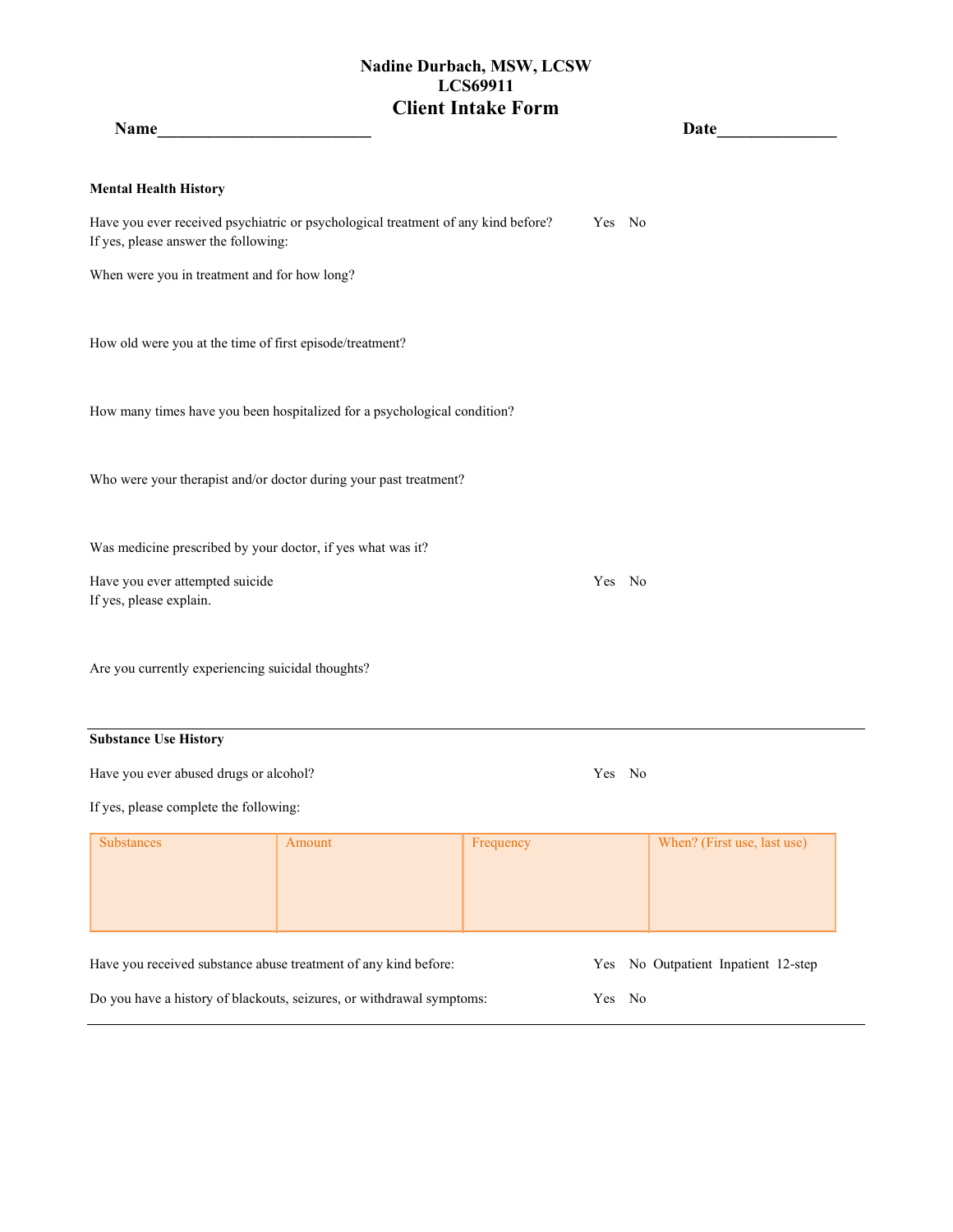| Name                                                        | <u> 1990 - Johann Barbara, martxa a</u>                                           |           |        | Date                                |
|-------------------------------------------------------------|-----------------------------------------------------------------------------------|-----------|--------|-------------------------------------|
| <b>Mental Health History</b>                                |                                                                                   |           |        |                                     |
| If yes, please answer the following:                        | Have you ever received psychiatric or psychological treatment of any kind before? |           | Yes No |                                     |
| When were you in treatment and for how long?                |                                                                                   |           |        |                                     |
| How old were you at the time of first episode/treatment?    |                                                                                   |           |        |                                     |
|                                                             | How many times have you been hospitalized for a psychological condition?          |           |        |                                     |
|                                                             | Who were your therapist and/or doctor during your past treatment?                 |           |        |                                     |
| Was medicine prescribed by your doctor, if yes what was it? |                                                                                   |           |        |                                     |
| Have you ever attempted suicide<br>If yes, please explain.  |                                                                                   |           | Yes No |                                     |
| Are you currently experiencing suicidal thoughts?           |                                                                                   |           |        |                                     |
| <b>Substance Use History</b>                                |                                                                                   |           |        |                                     |
| Have you ever abused drugs or alcohol?                      |                                                                                   |           | Yes No |                                     |
| If yes, please complete the following:                      |                                                                                   |           |        |                                     |
| <b>Substances</b>                                           | Amount                                                                            | Frequency |        | When? (First use, last use)         |
|                                                             | Have you received substance abuse treatment of any kind before:                   |           |        | Yes No Outpatient Inpatient 12-step |

Do you have a history of blackouts, seizures, or withdrawal symptoms: Yes No